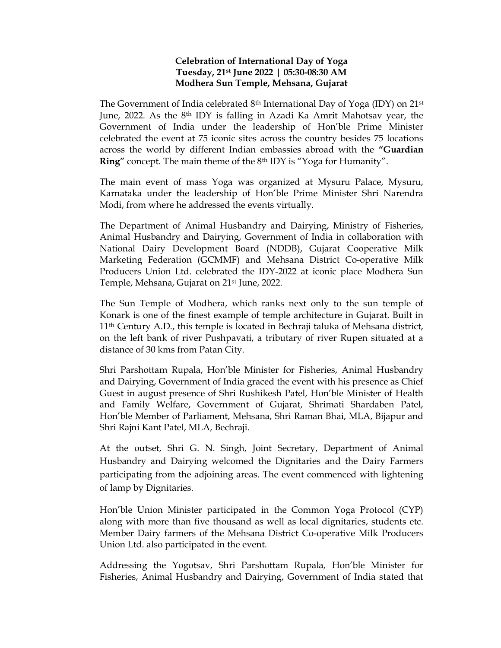## Celebration of International Day of Yoga Tuesday, 21st June 2022 | 05:30-08:30 AM Modhera Sun Temple, Mehsana, Gujarat

The Government of India celebrated  $8<sup>th</sup>$  International Day of Yoga (IDY) on 21<sup>st</sup> June, 2022. As the 8th IDY is falling in Azadi Ka Amrit Mahotsav year, the Government of India under the leadership of Hon'ble Prime Minister celebrated the event at 75 iconic sites across the country besides 75 locations across the world by different Indian embassies abroad with the "Guardian Ring" concept. The main theme of the 8th IDY is "Yoga for Humanity".

The main event of mass Yoga was organized at Mysuru Palace, Mysuru, Karnataka under the leadership of Hon'ble Prime Minister Shri Narendra Modi, from where he addressed the events virtually.

The Department of Animal Husbandry and Dairying, Ministry of Fisheries, Animal Husbandry and Dairying, Government of India in collaboration with National Dairy Development Board (NDDB), Gujarat Cooperative Milk Marketing Federation (GCMMF) and Mehsana District Co-operative Milk Producers Union Ltd. celebrated the IDY-2022 at iconic place Modhera Sun Temple, Mehsana, Gujarat on 21<sup>st</sup> June, 2022.

The Sun Temple of Modhera, which ranks next only to the sun temple of Konark is one of the finest example of temple architecture in Gujarat. Built in 11th Century A.D., this temple is located in Bechraji taluka of Mehsana district, on the left bank of river Pushpavati, a tributary of river Rupen situated at a distance of 30 kms from Patan City.

Shri Parshottam Rupala, Hon'ble Minister for Fisheries, Animal Husbandry and Dairying, Government of India graced the event with his presence as Chief Guest in august presence of Shri Rushikesh Patel, Hon'ble Minister of Health and Family Welfare, Government of Gujarat, Shrimati Shardaben Patel, Hon'ble Member of Parliament, Mehsana, Shri Raman Bhai, MLA, Bijapur and Shri Rajni Kant Patel, MLA, Bechraji.

At the outset, Shri G. N. Singh, Joint Secretary, Department of Animal Husbandry and Dairying welcomed the Dignitaries and the Dairy Farmers participating from the adjoining areas. The event commenced with lightening of lamp by Dignitaries.

Hon'ble Union Minister participated in the Common Yoga Protocol (CYP) along with more than five thousand as well as local dignitaries, students etc. Member Dairy farmers of the Mehsana District Co-operative Milk Producers Union Ltd. also participated in the event.

Addressing the Yogotsav, Shri Parshottam Rupala, Hon'ble Minister for Fisheries, Animal Husbandry and Dairying, Government of India stated that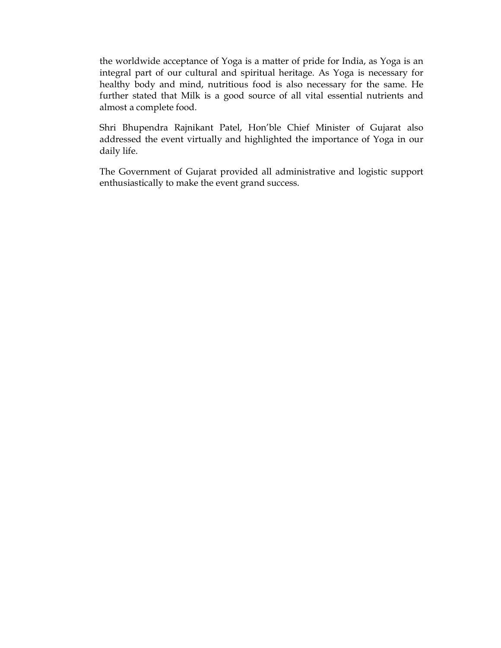the worldwide acceptance of Yoga is a matter of pride for India, as Yoga is an integral part of our cultural and spiritual heritage. As Yoga is necessary for healthy body and mind, nutritious food is also necessary for the same. He further stated that Milk is a good source of all vital essential nutrients and almost a complete food.

Shri Bhupendra Rajnikant Patel, Hon'ble Chief Minister of Gujarat also addressed the event virtually and highlighted the importance of Yoga in our daily life.

The Government of Gujarat provided all administrative and logistic support enthusiastically to make the event grand success.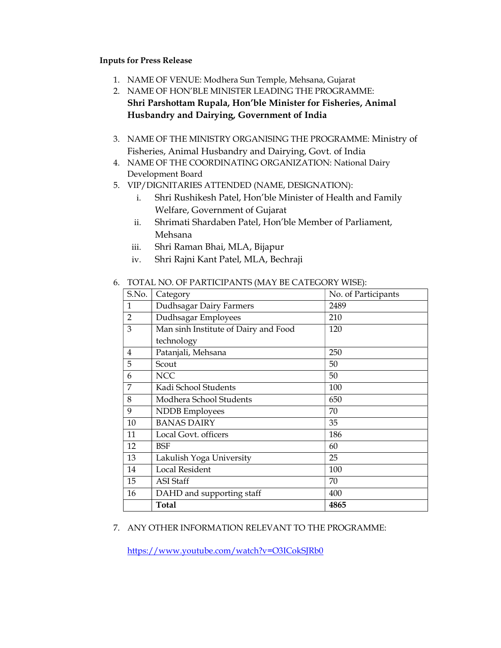## Inputs for Press Release

- 1. NAME OF VENUE: Modhera Sun Temple, Mehsana, Gujarat
- 2. NAME OF HON'BLE MINISTER LEADING THE PROGRAMME: Shri Parshottam Rupala, Hon'ble Minister for Fisheries, Animal Husbandry and Dairying, Government of India
- 3. NAME OF THE MINISTRY ORGANISING THE PROGRAMME: Ministry of Fisheries, Animal Husbandry and Dairying, Govt. of India
- 4. NAME OF THE COORDINATING ORGANIZATION: National Dairy Development Board
- 5. VIP/DIGNITARIES ATTENDED (NAME, DESIGNATION):
	- i. Shri Rushikesh Patel, Hon'ble Minister of Health and Family Welfare, Government of Gujarat
	- ii. Shrimati Shardaben Patel, Hon'ble Member of Parliament, Mehsana
	- iii. Shri Raman Bhai, MLA, Bijapur
	- iv. Shri Rajni Kant Patel, MLA, Bechraji

| TOTAL NO. OF PARTICIPANTS (MAT DE CATEGORY WISE). |                                      |                     |  |  |  |
|---------------------------------------------------|--------------------------------------|---------------------|--|--|--|
| S.No.                                             | Category                             | No. of Participants |  |  |  |
| 1                                                 | Dudhsagar Dairy Farmers<br>2489      |                     |  |  |  |
| $\overline{2}$                                    | Dudhsagar Employees<br>210           |                     |  |  |  |
| 3                                                 | Man sinh Institute of Dairy and Food | 120                 |  |  |  |
|                                                   | technology                           |                     |  |  |  |
| 4                                                 | Patanjali, Mehsana                   | 250                 |  |  |  |
| 5                                                 | Scout                                | 50                  |  |  |  |
| 6                                                 | <b>NCC</b>                           | 50                  |  |  |  |
| 7                                                 | Kadi School Students                 | 100                 |  |  |  |
| 8                                                 | Modhera School Students              | 650                 |  |  |  |
| 9                                                 | NDDB Employees                       | 70                  |  |  |  |
| 10                                                | <b>BANAS DAIRY</b>                   | 35                  |  |  |  |
| 11                                                | Local Govt. officers                 | 186                 |  |  |  |
| 12                                                | BSF                                  | 60                  |  |  |  |
| 13                                                | Lakulish Yoga University             | 25                  |  |  |  |
| 14                                                | Local Resident                       | 100                 |  |  |  |
| 15                                                | <b>ASI</b> Staff                     | 70                  |  |  |  |
| 16                                                | DAHD and supporting staff            | 400                 |  |  |  |
|                                                   | Total                                | 4865                |  |  |  |

## 6. TOTAL NO. OF PARTICIPANTS (MAY BE CATEGORY WISE):

## 7. ANY OTHER INFORMATION RELEVANT TO THE PROGRAMME:

https://www.youtube.com/watch?v=O3ICokSJRb0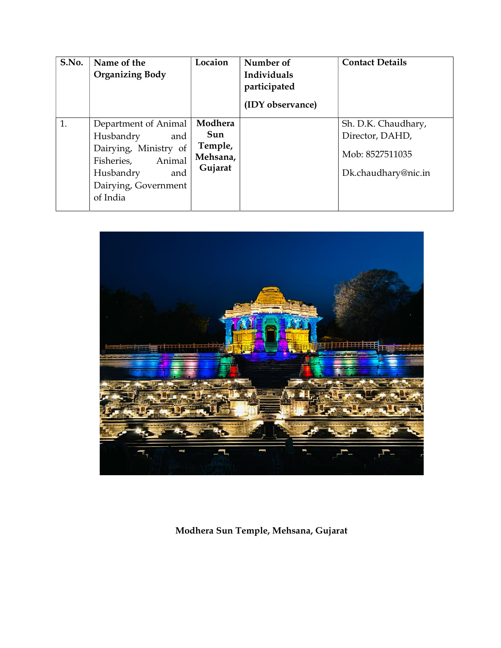| S.No. | Name of the<br><b>Organizing Body</b>                                                                                                             | Locaion                                          | Number of<br>Individuals<br>participated<br>(IDY observance) | <b>Contact Details</b>                                                           |
|-------|---------------------------------------------------------------------------------------------------------------------------------------------------|--------------------------------------------------|--------------------------------------------------------------|----------------------------------------------------------------------------------|
| 1.    | Department of Animal<br>Husbandry<br>and<br>Dairying, Ministry of<br>Animal<br>Fisheries,<br>and<br>Husbandry<br>Dairying, Government<br>of India | Modhera<br>Sun<br>Temple,<br>Mehsana,<br>Gujarat |                                                              | Sh. D.K. Chaudhary,<br>Director, DAHD,<br>Mob: 8527511035<br>Dk.chaudhary@nic.in |



Modhera Sun Temple, Mehsana, Gujarat